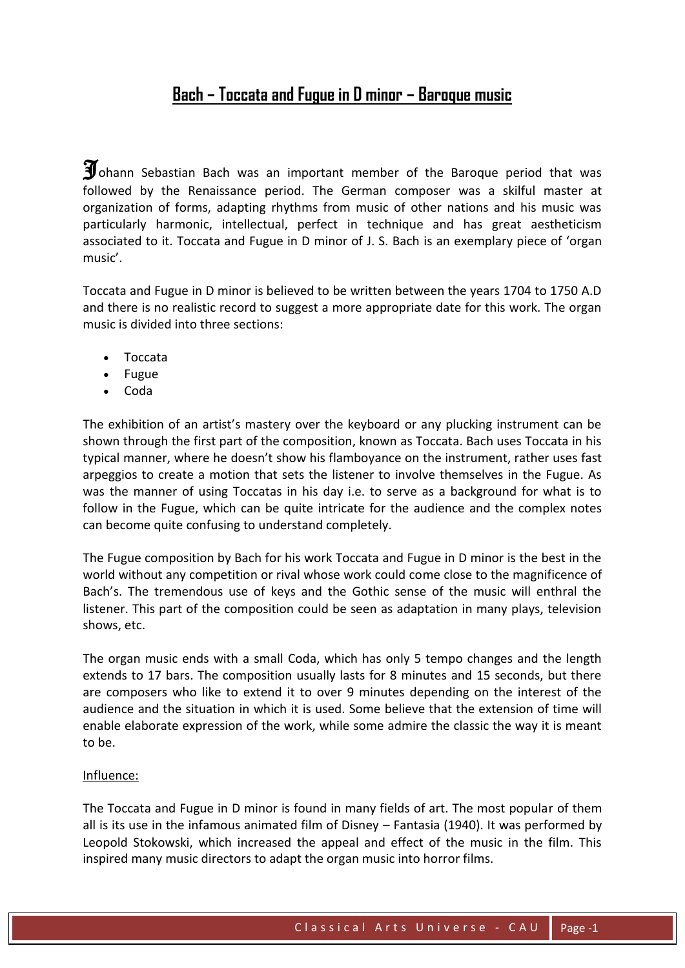## Bach - Toccata and Fugue in D minor - Baroque music

 $\mathbf{\widetilde{J}}$  ohann Sebastian Bach was an important member of the Baroque period that was followed by the Renaissance period. The German composer was a skilful master at organization of forms, adapting rhythms from music of other nations and his music was particularly harmonic, intellectual, perfect in technique and has great aestheticism associated to it. Toccata and Fugue in D minor of J. S. Bach is an exemplary piece of 'organ music'.

Toccata and Fugue in D minor is believed to be written between the years 1704 to 1750 A.D and there is no realistic record to suggest a more appropriate date for this work. The organ music is divided into three sections:

- Toccata
- $\bullet$  Fugue
- $\bullet$  Coda

The exhibition of an artist's mastery over the keyboard or any plucking instrument can be shown through the first part of the composition, known as Toccata. Bach uses Toccata in his typical manner, where he doesn't show his flamboyance on the instrument, rather uses fast arpeggios to create a motion that sets the listener to involve themselves in the Fugue. As was the manner of using Toccatas in his day i.e. to serve as a background for what is to follow in the Fugue, which can be quite intricate for the audience and the complex notes can become quite confusing to understand completely.

The Fugue composition by Bach for his work Toccata and Fugue in D minor is the best in the world without any competition or rival whose work could come close to the magnificence of Bach's. The tremendous use of keys and the Gothic sense of the music will enthral the listener. This part of the composition could be seen as adaptation in many plays, television shows, etc.

The organ music ends with a small Coda, which has only 5 tempo changes and the length extends to 17 bars. The composition usually lasts for 8 minutes and 15 seconds, but there are composers who like to extend it to over 9 minutes depending on the interest of the audience and the situation in which it is used. Some believe that the extension of time will enable elaborate expression of the work, while some admire the classic the way it is meant to be.

## Influence:

The Toccata and Fugue in D minor is found in many fields of art. The most popular of them all is its use in the infamous animated film of Disney - Fantasia (1940). It was performed by Leopold Stokowski, which increased the appeal and effect of the music in the film. This inspired many music directors to adapt the organ music into horror films.